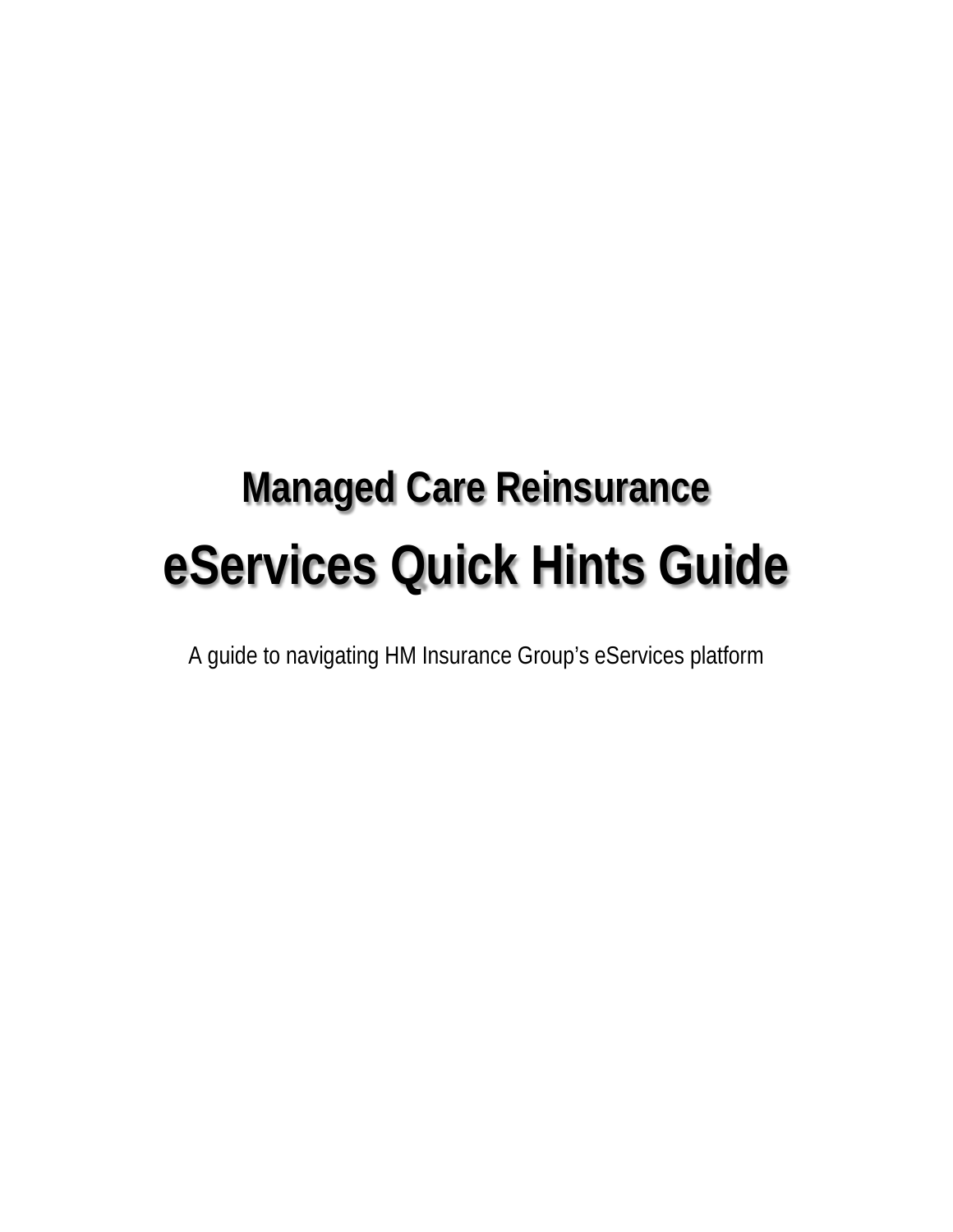# **Managed Care Reinsurance eServices Quick Hints Guide**

A guide to navigating HM Insurance Group's eServices platform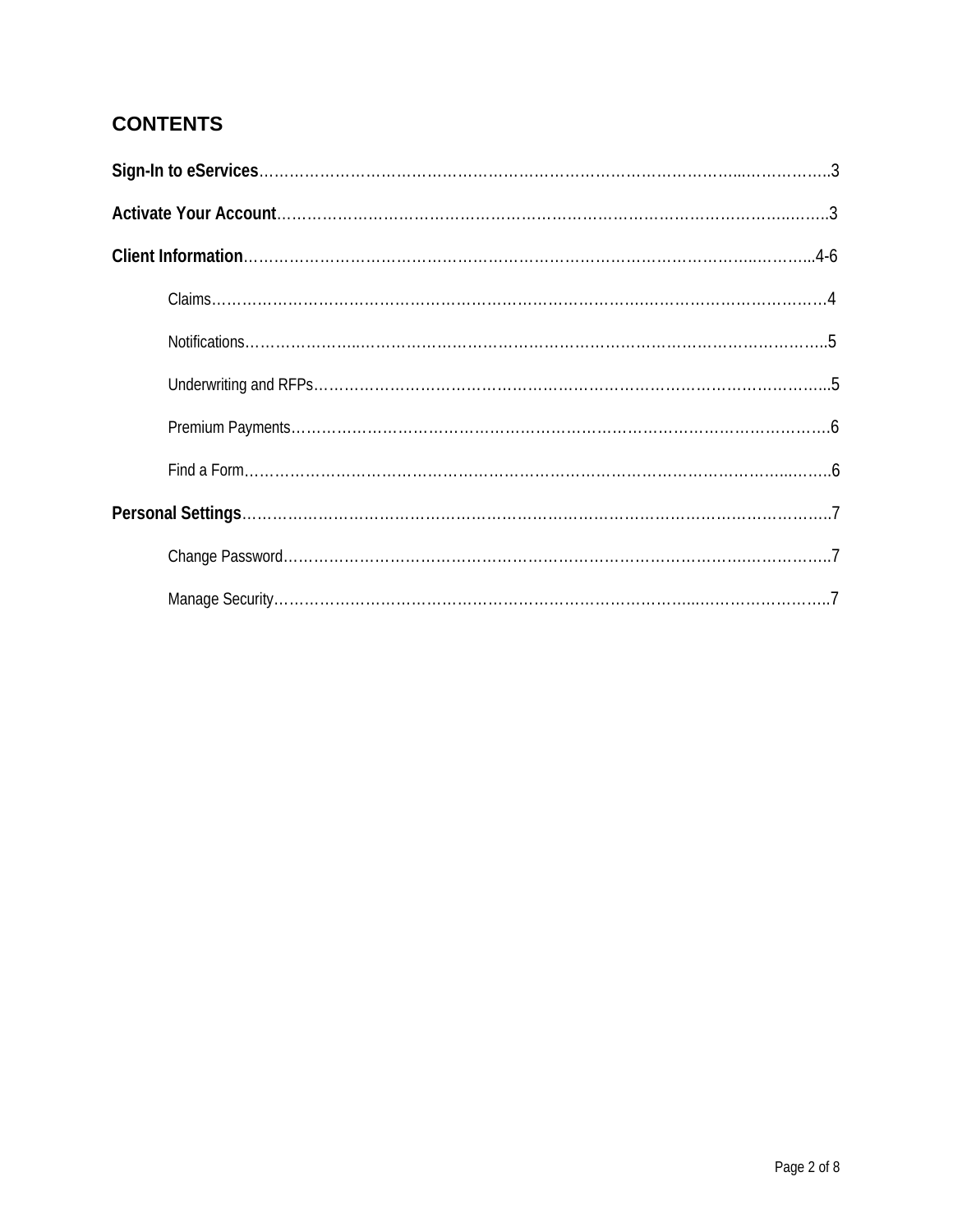# **CONTENTS**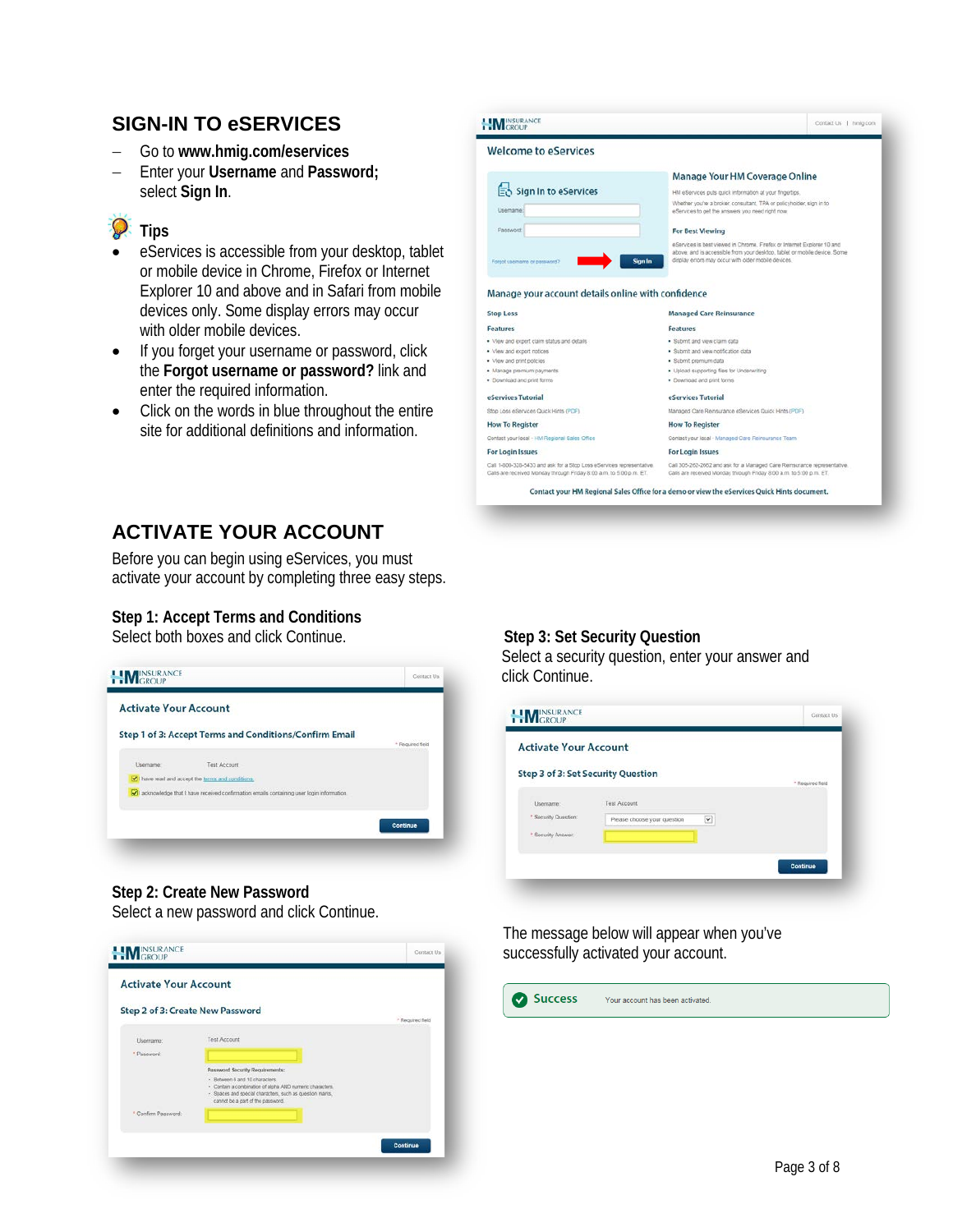# **SIGN-IN TO eSERVICES**

- − Go to **www.hmig.com/eservices**
- − Enter your **Username** and **Password;** select **Sign In**.

# **P** Tips

- eServices is accessible from your desktop, tablet or mobile device in Chrome, Firefox or Internet Explorer 10 and above and in Safari from mobile devices only. Some display errors may occur with older mobile devices.
- If you forget your username or password, click the **Forgot username or password?** link and enter the required information.
- Click on the words in blue throughout the entire site for additional definitions and information.

| <b>Welcome to eServices</b>                                                                                                                                                              |                                                                                                                                                                                                             |
|------------------------------------------------------------------------------------------------------------------------------------------------------------------------------------------|-------------------------------------------------------------------------------------------------------------------------------------------------------------------------------------------------------------|
|                                                                                                                                                                                          | Manage Your HM Coverage Online                                                                                                                                                                              |
| Sign In to eServices                                                                                                                                                                     | HM eServices puts quick information at your fingertips.                                                                                                                                                     |
| Lisamama:                                                                                                                                                                                | Whether you're a broker, consultant, TPA or policyholder, sign in to<br>eServices to get the answers you need right now.                                                                                    |
| Password                                                                                                                                                                                 | <b>For Best Viewing</b>                                                                                                                                                                                     |
| Sign In<br>Forgot usemame or password?                                                                                                                                                   | eServices is best viewed in Chrome. Firefox or Internet Explorer 10 and<br>above, and is accessible from your desktop, tablet or mobile device. Some<br>display errors may occur with older mobile devices. |
| Manage your account details online with confidence                                                                                                                                       |                                                                                                                                                                                                             |
| <b>Stop Loss</b>                                                                                                                                                                         | <b>Managed Care Reinsurance</b>                                                                                                                                                                             |
| <b>Features</b>                                                                                                                                                                          | <b>Features</b>                                                                                                                                                                                             |
| . View and export claim status and details                                                                                                                                               | · Submit and view claim data                                                                                                                                                                                |
|                                                                                                                                                                                          | · Submit and view notification data                                                                                                                                                                         |
| . View and export notices                                                                                                                                                                |                                                                                                                                                                                                             |
| · View and print policies                                                                                                                                                                | · Submit premium data                                                                                                                                                                                       |
| · Manage premium payments.                                                                                                                                                               | · Upload supporting files for Underwriting                                                                                                                                                                  |
|                                                                                                                                                                                          | · Download and print forms.                                                                                                                                                                                 |
|                                                                                                                                                                                          | eServices Tutorial                                                                                                                                                                                          |
|                                                                                                                                                                                          | Managed Care Reinsurance eServices Quick Hints (PDF)                                                                                                                                                        |
|                                                                                                                                                                                          | <b>How To Register</b>                                                                                                                                                                                      |
|                                                                                                                                                                                          | Contact your local - Managed Care Reinsurance Team                                                                                                                                                          |
| · Download and print forms<br>eServices Tutorial<br>Stop Loss eServices Quick Hints (PDF)<br><b>How To Register</b><br>Contact your local - HM Regional Sales Office<br>For Login Issues | For Login Issues                                                                                                                                                                                            |

# **ACTIVATE YOUR ACCOUNT**

Before you can begin using eServices, you must activate your account by completing three easy steps.

### **Step 1: Accept Terms and Conditions**

Select both boxes and click Continue. **Step 3: Set Security Question**



# **Step 2: Create New Password**

Select a new password and click Continue.



Select a security question, enter your answer and click Continue.

| * Required field<br>Test Account<br>Please choose your question<br>$\checkmark$ | Step 3 of 3: Set Security Question<br>Username: |  |
|---------------------------------------------------------------------------------|-------------------------------------------------|--|
|                                                                                 |                                                 |  |
|                                                                                 |                                                 |  |
|                                                                                 | * Security Question:                            |  |
|                                                                                 | <sup>+</sup> Security Aniwer:                   |  |

The message below will appear when you've successfully activated your account.

Success Your account has been activated.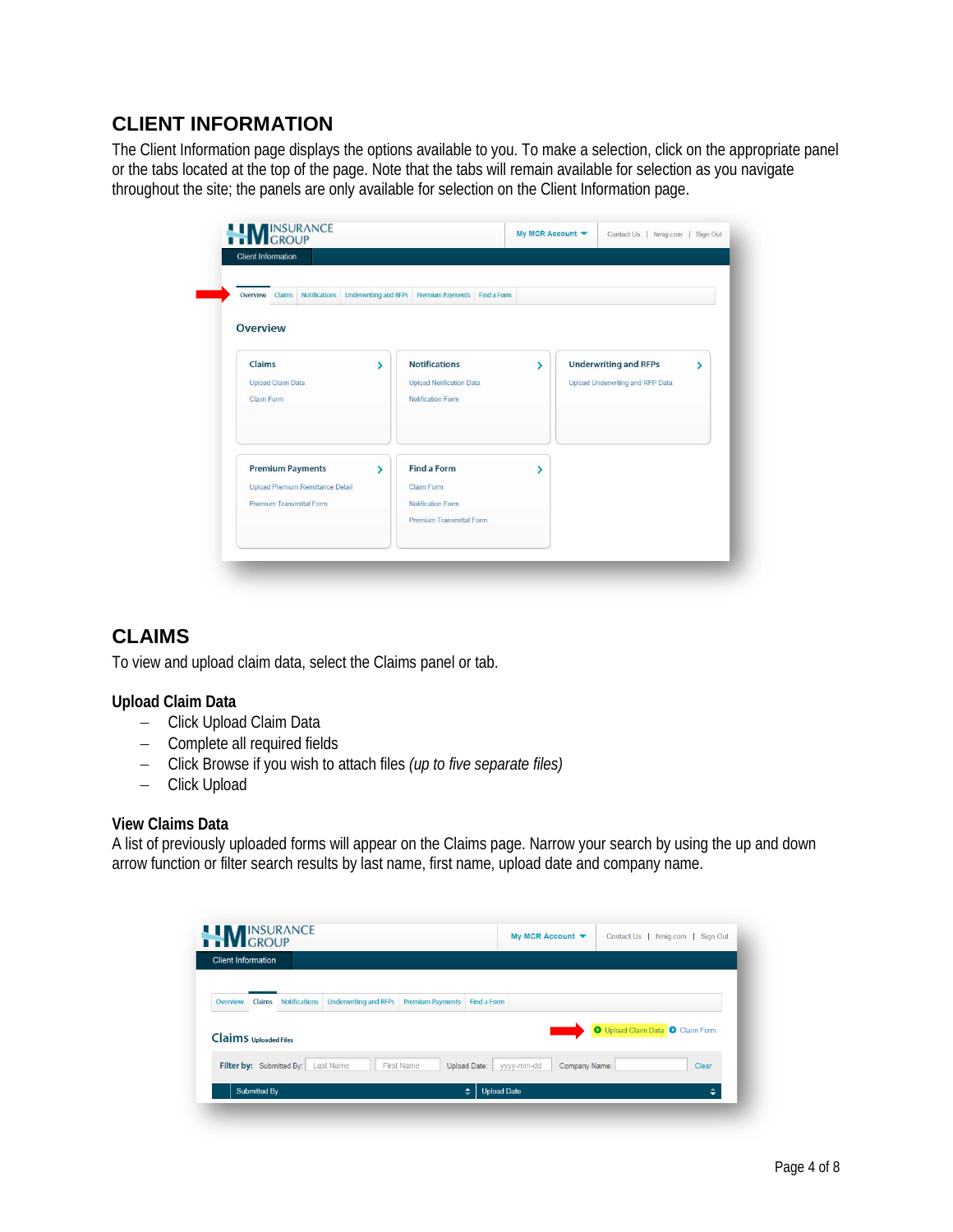# **CLIENT INFORMATION**

The Client Information page displays the options available to you. To make a selection, click on the appropriate panel or the tabs located at the top of the page. Note that the tabs will remain available for selection as you navigate throughout the site; the panels are only available for selection on the Client Information page.

| Notifications Underwriting and RFPs<br>Overview Claims |                          | Premium Payments Find a Form    |   |                                   |
|--------------------------------------------------------|--------------------------|---------------------------------|---|-----------------------------------|
| <b>Overview</b>                                        |                          |                                 |   |                                   |
| Claims                                                 | ٧                        | <b>Notifications</b>            | ۶ | <b>Underwriting and RFPs</b><br>⋗ |
| <b>Upload Claim Data</b>                               |                          | <b>Upload Notification Data</b> |   | Upload Underwriting and RFP Data  |
| Claim Form                                             |                          | <b>Notification Form</b>        |   |                                   |
| <b>Premium Payments</b>                                | $\overline{\phantom{0}}$ | <b>Find a Form</b>              | ١ |                                   |
| Upload Premium Remittance Detail                       |                          | Claim Form                      |   |                                   |
| <b>Premium Transmittal Form</b>                        |                          | <b>Notification Form</b>        |   |                                   |
|                                                        |                          | Premium Transmittal Form        |   |                                   |

# **CLAIMS**

To view and upload claim data, select the Claims panel or tab.

#### **Upload Claim Data**

- − Click Upload Claim Data
- − Complete all required fields
- − Click Browse if you wish to attach files *(up to five separate files)*
- − Click Upload

#### **View Claims Data**

A list of previously uploaded forms will appear on the Claims page. Narrow your search by using the up and down arrow function or filter search results by last name, first name, upload date and company name.

| <b>Client Information</b>          |                      |                              |                                          |             |               |                                  |       |
|------------------------------------|----------------------|------------------------------|------------------------------------------|-------------|---------------|----------------------------------|-------|
| Claims<br>Overview                 | <b>Notifications</b> | <b>Underwriting and RFPs</b> | <b>Premium Payments</b>                  | Find a Form |               |                                  |       |
| <b>Claims</b> Uploaded Files       |                      |                              |                                          |             |               | O Upload Claim Data O Claim Form |       |
|                                    |                      |                              |                                          |             |               |                                  |       |
| Filter by: Submitted By: Last Name |                      |                              | <b>First Name</b><br><b>Upload Date:</b> | yyyy-mm-dd  | Company Name: |                                  | Clear |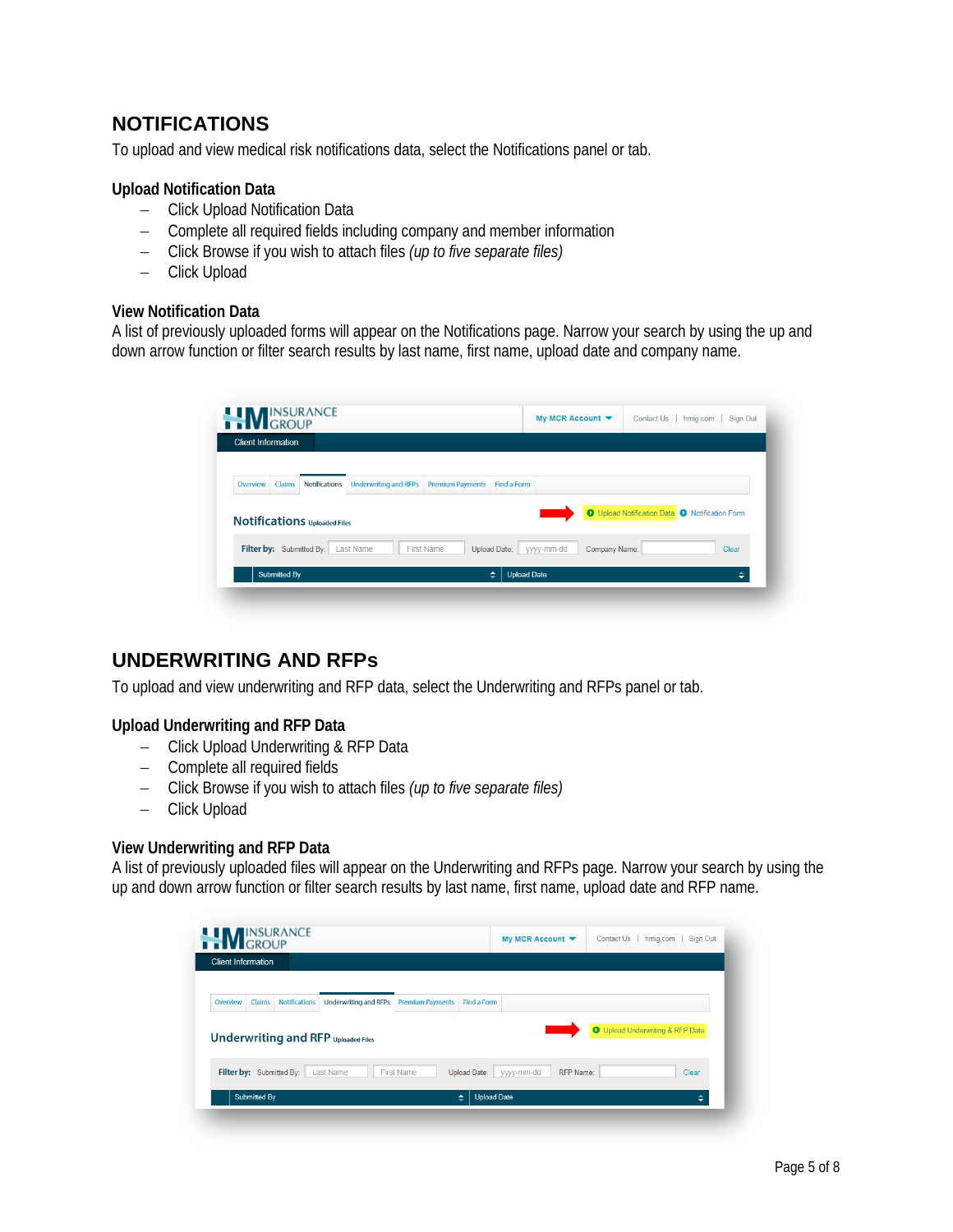# **NOTIFICATIONS**

To upload and view medical risk notifications data, select the Notifications panel or tab.

#### **Upload Notification Data**

- − Click Upload Notification Data
- − Complete all required fields including company and member information
- − Click Browse if you wish to attach files *(up to five separate files)*
- − Click Upload

#### **View Notification Data**

A list of previously uploaded forms will appear on the Notifications page. Narrow your search by using the up and down arrow function or filter search results by last name, first name, upload date and company name.

| <b>Client Information</b>                  |                                                                        |                                                |
|--------------------------------------------|------------------------------------------------------------------------|------------------------------------------------|
| <b>Notifications</b><br>Claims<br>Overview | <b>Underwriting and RFPs</b><br><b>Premium Payments</b><br>Find a Form |                                                |
| <b>Notifications Uploaded Files</b>        |                                                                        | O Upload Notification Data O Notification Form |
|                                            |                                                                        | Clear                                          |
| Filter by: Submitted By: Last Name         | <b>First Name</b><br>Upload Date:<br>Company Name:<br>yyyy-mm-dd       |                                                |

# **UNDERWRITING AND RFPs**

To upload and view underwriting and RFP data, select the Underwriting and RFPs panel or tab.

#### **Upload Underwriting and RFP Data**

- − Click Upload Underwriting & RFP Data
- − Complete all required fields
- − Click Browse if you wish to attach files *(up to five separate files)*
- − Click Upload

#### **View Underwriting and RFP Data**

A list of previously uploaded files will appear on the Underwriting and RFPs page. Narrow your search by using the up and down arrow function or filter search results by last name, first name, upload date and RFP name.

| <b>NEW INSURANCE</b>      |                                                                |                                        | My MCR Account $\blacktriangledown$ | Contact Us   hmig.com   Sign Out        |
|---------------------------|----------------------------------------------------------------|----------------------------------------|-------------------------------------|-----------------------------------------|
| <b>Client Information</b> |                                                                |                                        |                                     |                                         |
| Overview<br>Claims        | <b>Underwriting and RFPs</b><br><b>Notifications</b>           | <b>Premium Payments</b><br>Find a Form |                                     | <b>O</b> Upload Underwriting & RFP Data |
| Filter by: Submitted By:  | <b>Underwriting and RFP Uploaded Files</b><br><b>Last Name</b> | <b>First Name</b><br>Upload Date:      | <b>RFP Name:</b><br>yyyy-mm-dd      | Clear                                   |
| <b>Submitted By</b>       |                                                                | $\triangleq$                           | <b>Upload Date</b>                  |                                         |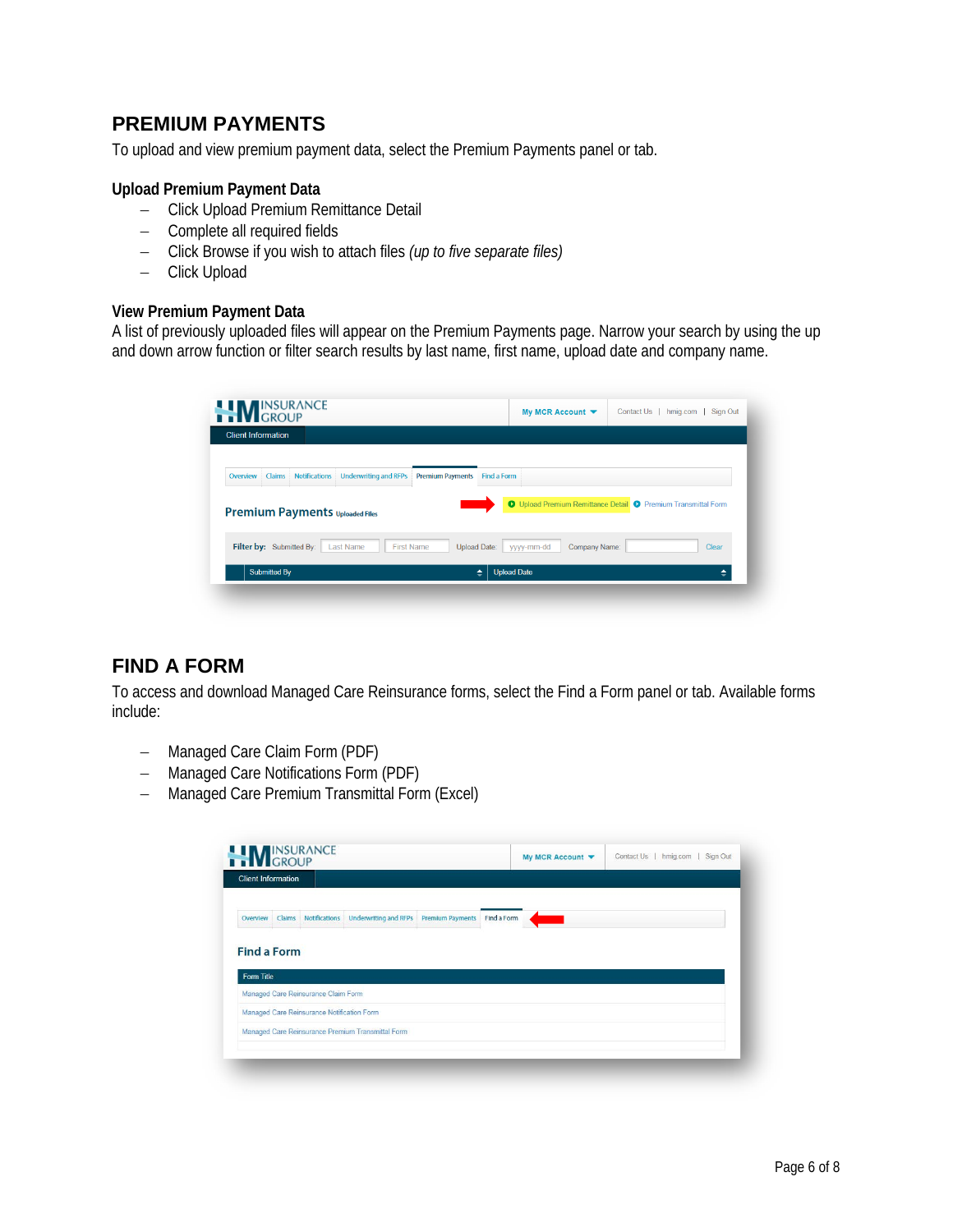# **PREMIUM PAYMENTS**

To upload and view premium payment data, select the Premium Payments panel or tab.

#### **Upload Premium Payment Data**

- − Click Upload Premium Remittance Detail
- − Complete all required fields
- − Click Browse if you wish to attach files *(up to five separate files)*
- − Click Upload

#### **View Premium Payment Data**

A list of previously uploaded files will appear on the Premium Payments page. Narrow your search by using the up and down arrow function or filter search results by last name, first name, upload date and company name.

|                          | <b>Client Information</b>              |                              |                         |                            |               |                                                               |       |
|--------------------------|----------------------------------------|------------------------------|-------------------------|----------------------------|---------------|---------------------------------------------------------------|-------|
| Claims<br>Overview       | <b>Notifications</b>                   | <b>Underwriting and RFPs</b> | <b>Premium Payments</b> | Find a Form                |               |                                                               |       |
|                          |                                        |                              |                         |                            |               | O Upload Premium Remittance Detail O Premium Transmittal Form |       |
|                          | <b>Premium Payments Uploaded Files</b> |                              |                         |                            |               |                                                               |       |
| Filter by: Submitted By: |                                        | Last Name                    | <b>First Name</b>       | Upload Date:<br>yyyy-mm-dd | Company Name: |                                                               | Clear |

# **FIND A FORM**

To access and download Managed Care Reinsurance forms, select the Find a Form panel or tab. Available forms include:

- − Managed Care Claim Form (PDF)
- − Managed Care Notifications Form (PDF)
- − Managed Care Premium Transmittal Form (Excel)

| <b>Client Information</b> |                                            |                                                                         |  |  |  |
|---------------------------|--------------------------------------------|-------------------------------------------------------------------------|--|--|--|
| Overview                  |                                            | Claims Notifications Underwriting and RFPs Premium Payments Find a Form |  |  |  |
|                           |                                            |                                                                         |  |  |  |
|                           |                                            |                                                                         |  |  |  |
| <b>Find a Form</b>        |                                            |                                                                         |  |  |  |
| Form Title                |                                            |                                                                         |  |  |  |
|                           | Managed Care Reinsurance Claim Form        |                                                                         |  |  |  |
|                           | Managed Care Reinsurance Notification Form |                                                                         |  |  |  |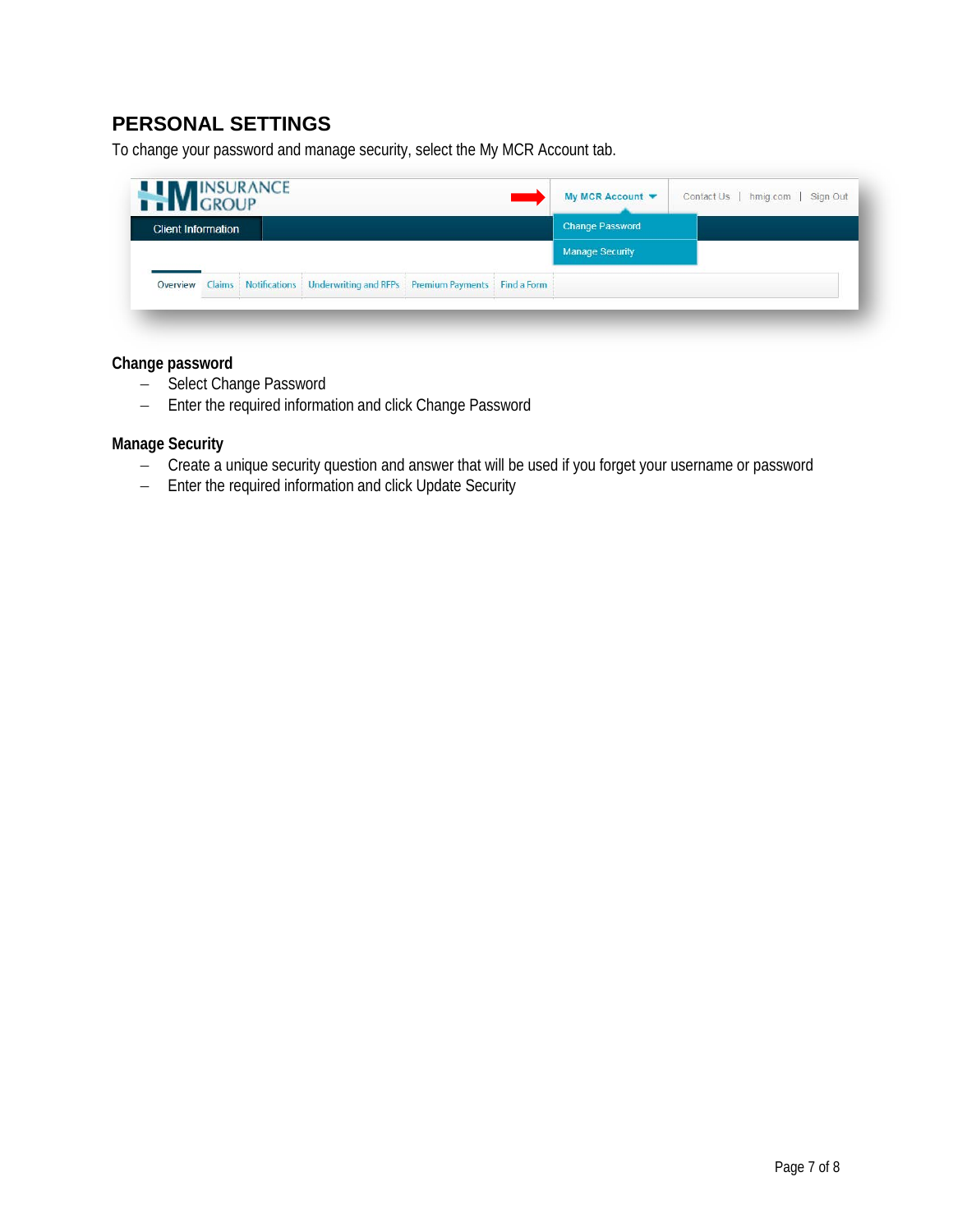# **PERSONAL SETTINGS**

To change your password and manage security, select the My MCR Account tab.

| <b>NUMBER ANCE</b>        |  |                                                                                                                             |                                                                                 |  |  | My MCR Account $\blacktriangledown$ | hmig.com   Sign Out<br>Contact Us |
|---------------------------|--|-----------------------------------------------------------------------------------------------------------------------------|---------------------------------------------------------------------------------|--|--|-------------------------------------|-----------------------------------|
| <b>Client Information</b> |  |                                                                                                                             |                                                                                 |  |  | <b>Change Password</b>              |                                   |
|                           |  |                                                                                                                             |                                                                                 |  |  | <b>Manage Security</b>              |                                   |
| Overview                  |  | <b>MARKET AND A REPORT OF A STATE OF A REPORT OF A STATE OF A REPORT OF A STATE OF A REPORT OF A STATE OF A REPORT OF A</b> | Claims   Notifications   Underwriting and RFPs   Premium Payments   Find a Form |  |  |                                     |                                   |

#### **Change password**

- − Select Change Password
- − Enter the required information and click Change Password

#### **Manage Security**

- − Create a unique security question and answer that will be used if you forget your username or password
- − Enter the required information and click Update Security